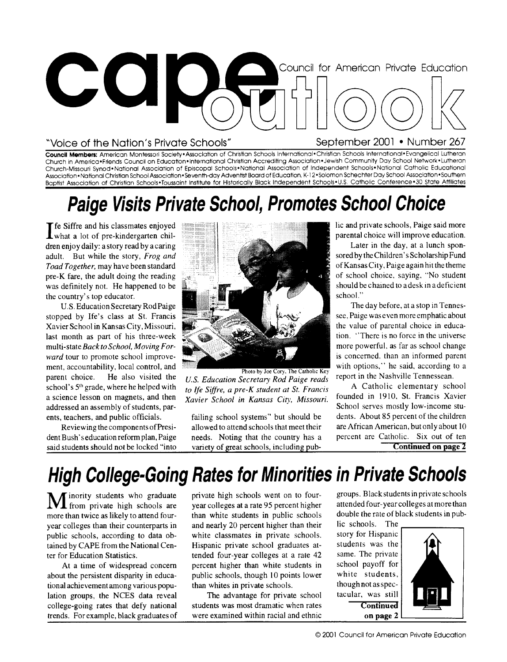

### "Voice of the Nation's Private Schools"

**Council Members:** American Montessori Society• Association of Christian Schools International•Christian Schools International•Evangelical Lutheran Church in America•Friends Council on Education•International Christian Accrediting Association•Jewish Community Day School Network• Lutheran Church-Missouri Synod•National Association of Episcopal Schools• National Association of Independent Schools• National Catholic Educational Association • National Christian School Association • Seventh-day Adventist Board of Education, K-12 • Solomon Schechter Day School Association • Southern Baptist Association of Christian Schools•Toussaint Institute for Historically Black Independent Schools•U.S. Catholic Conference•30 State Aff <sup>i</sup> liates

## **Paige Visits Private School, Promotes School Choice**

If fe Siffre and his classmates enjoyed<br>
what a lot of pre-kindergarten chilwhat a lot of pre-kindergarten children enjoy daily: a story read by a caring adult. But while the story, *Frog and Toad Together,* may have been standard pre-K fare, the adult doing the reading was definitely not. He happened to be the country's top educator.

addressed an assembly of students, par-U.S. Education Secretary Rod Paige stopped by Ife's class at St. Francis Xavier School in Kansas City, Missouri, last month as part of his three-week multi-state *Back to School, Moving Forward* tour to promote school improvement, accountability, local control, and parent choice. He also visited the school's 5<sup>th</sup> grade, where he helped with a science lesson on magnets, and then

said students should not be locked "into variety of great schools, including pub-



Photo by Joe Cory, The Catholic Key *U.S. Education Secretary Rod Paige reads to Ife Siffre, a pre-K student at St. Francis Xavier School in Kansas City, Missouri.* founded in 1910, St. Francis Xavier

ents, teachers, and public officials. failing school systems" but should be dents. About 85 percent of the children Reviewing the components of Presi- allowed to attend schools that meet their are African American, but only about 10 dent Bush's education reform plan, Paige needs. Noting that the country has a percent are Catholic. Six out of ten said students should not be locked "into variety of great schools, including pub-<br>Continued on page 2

lic and private schools, Paige said more parental choice will improve education.

Later in the day, at a lunch sponsored by the Children's Scholarship Fund of Kansas City, Paige again hit the theme of school choice, saying, "No student should be chained to a desk in a deficient school."

The day before, at a stop in Tennessee, Paige was even more emphatic about the value of parental choice in education. "There is no force in the universe more powerful, as far as school change is concerned, than an informed parent with options," he said, according to a report in the Nashville Tennessean.

A Catholic elementary school

## **High College-Going Rates for Minorities in Private Schools**

**M** inority students who graduate from private high schools are inority students who graduate more than twice as likely to attend fouryear colleges than their counterparts in public schools, according to data obtained by CAPE from the National Center for Education Statistics.

At a time of widespread concern about the persistent disparity in educational achievement among various population groups, the NCES data reveal college-going rates that defy national trends. For example, black graduates of private high schools went on to fouryear colleges at a rate 95 percent higher than white students in public schools and nearly 20 percent higher than their white classmates in private schools. Hispanic private school graduates attended four-year colleges at a rate 42 percent higher than white students in public schools, though 10 points lower than whites in private schools.

The advantage for private school students was most dramatic when rates were examined within racial and ethnic

groups. Black students in private schools attended four-year colleges at more than double the rate of black students in pub-

lic schools. The story for Hispanic students was the same. The private school payoff for white students, though not as spectacular, was still **Continued on page 2** 

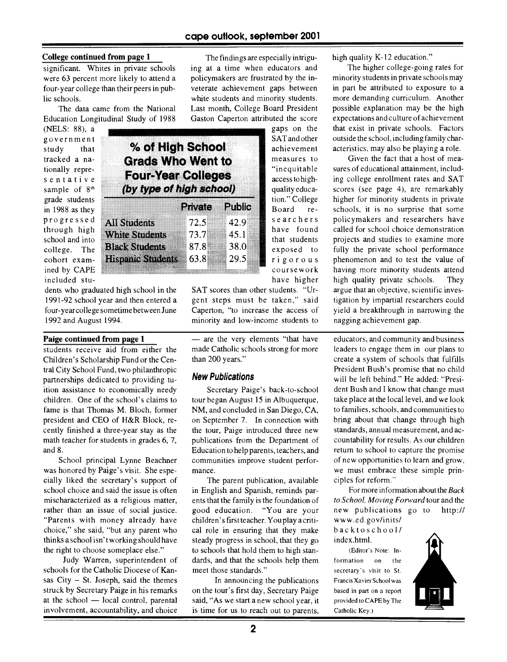#### **College continued from page 1**

significant. Whites in private schools were 63 percent more likely to attend a four-year college than their peers in public schools.

The data came from the National Education Longitudinal Study of 1988

(NELS: 88), a college. The Black Students 87.8 38.0<br>cohort exam- Hispanic Students 63.8 29.5 ined by CAPE included stugovernment study that tracked a nationally representative sample of 8th grade students in 1988 as they progressed All Students through high **White** St school and into

dents who graduated high school in the 1991-92 school year and then entered a four-year college sometime between June 1992 and August 1994.

**Hispanic Students** 

Children's Scholarship Fund or the Central City School Fund, two philanthropic partnerships dedicated to providing tu- **New Publications**  ition assistance to economically needy Secretary Paige's back-to-school children. One of the school's claims to tour began August 15 in Albuquerque, fame is that Thomas M. Bloch, former NM, and concluded in San Diego, CA, president and CEO of H&R Block, re- on September 7. In connection with cently finished a three-year stay as the the tour, Paige introduced three new math teacher for students in grades 6, 7, publications from the Department of and 8. Education to help parents, teachers, and

was honored by Paige's visit. She espe- mance. cially liked the secretary's support of The parent publication, available school choice and said the issue is often in English and Spanish, reminds parmischaracterized as a religious matter, ents that the family is the foundation of rather than an issue of social justice. good education. "You are your<br>"Parents with money already have children's first teacher. You play a criti-"Parents with money already have choice," she said, "but any parent who cal role in ensuring that they make thinks a school isn't working should have steady progress in school, that they go index.html. the right to choose someplace else." to schools that hold them to high stan- (Editor's Note: In-

schools for the Catholic Diocese of Kan- meet those standards." secretary's visit to St. sas City – St. Joseph, said the themes In announcing the publications Francis Xavier School was struck by Secretary Paige in his remarks on the tour's first day, Secretary Paige based in part on a report at the school — local control, parental said, "As we start a new school year, it provided to CAPE by The involvement, accountability, and choice is time for us to reach out to parents, Catholic Key.)

The findings are especially intriguing at a time when educators and policymakers are frustrated by the inveterate achievement gaps between white students and minority students. Last month, College Board President Gaston Caperton attributed the score

achievement measures to "inequitable access to high-**(by type of high school) and all quality educa-Public B** Board retion." College 72.5 42.9 73.7 45.1 **Four**gaps on the SAT and other **of High School Grads Who Went to**  exposed to rigorous course work have higher

> SAT scores than other students. "Urgent steps must be taken," said Caperton, "to increase the access of minority and low-income students to

**Paige continued from page 1** — are the very elements "that have students receive aid from either the made Catholic schools strong for more<br>Children's Scholarship Fund or the Cen-<br>than 200 years."

Private

School principal Lynne Beachner communities improve student perfor-

Judy Warren, superintendent of dards, and that the schools help them formation on the

high quality K-12 education."

The higher college-going rates for minority students in private schools may in part be attributed to exposure to a more demanding curriculum. Another possible explanation may be the high expectations and culture of achievement that exist in private schools. Factors outside the school, including family characteristics, may also be playing a role.

Given the fact that a host of measures of educational attainment, including college enrollment rates and SAT scores (see page 4), are remarkably higher for minority students in private schools, it is no surprise that some fully the private school performance phenomenon and to test the value of having more minority students attend high quality private schools. They argue that an objective, scientific investigation by impartial researchers could yield a breakthrough in narrowing the nagging achievement gap. searchers policymakers and researchers have have found called for school choice demonstration that students projects and studies to examine more

> educators, and community and business leaders to engage them in our plans to create a system of schools that fulfills President Bush's promise that no child will be left behind." He added: "President Bush and I know that change must take place at the local level, and we look to families, schools, and communities to bring about that change through high standards, annual measurement, and accountability for results. As our children return to school to capture the promise of new opportunities to learn and grow, we must embrace these simple principles for reform."

> For more information about the *Back to School, Moving Forward* tour and the new publications go to http:// www.ed.gov/inits/

backtoschool/

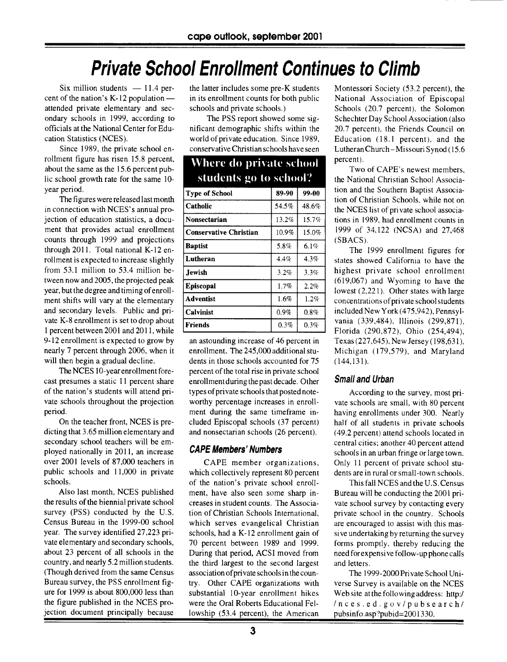## **Private School Enrollment Continues to Climb**

Six million students  $- 11.4$  percent of the nation's  $K-12$  population  $$ attended private elementary and secondary schools in 1999, according to officials at the National Center for Education Statistics (NCES).

Since 1989, the private school enrollment figure has risen 15.8 percent, about the same as the 15.6 percent public school growth rate for the same 10 year period.

The figures were released last month in connection with NCES's annual projection of education statistics, a document that provides actual enrollment counts through 1999 and projections through 2011. Total national K-12 enrollment is expected to increase slightly from 53.1 million to 53.4 million between now and 2005, the projected peak year, but the degree and timing of enrollment shifts will vary at the elementary and secondary levels. Public and private K-8 enrollment is set to drop about 1 percent between 2001 and 2011, while 9-12 enrollment is expected to grow by nearly 7 percent through 2006, when it will then begin a gradual decline.

The NCES 10-yearenrollment forecast presumes a static 11 percent share of the nation's students will attend private schools throughout the projection period.

On the teacher front, NCES is predicting that 3.65 million elementary and secondary school teachers will be employed nationally in 2011, an increase over 2001 levels of 87,000 teachers in public schools and 11,000 in private schools.

Also last month, NCES published the results of the biennial private school survey (PSS) conducted by the U.S. Census Bureau in the 1999-00 school year. The survey identified 27,223 private elementary and secondary schools, about 23 percent of all schools in the country, and nearly 5.2 million students. (Though derived from the same Census Bureau survey, the PSS enrollment figure for 1999 is about 800,000 less than the figure published in the NCES projection document principally because

the latter includes some pre-K students in its enrollment counts for both public schools and private schools.)

The PSS report showed some significant demographic shifts within the world of private education. Since 1989, conservative Christian schools have seen

## Where do private school students go to school?

| <b>Type of School</b>         | 89-90   | 99-00   |
|-------------------------------|---------|---------|
| Catholic                      | 54.5%   | 48.6%   |
| Nonsectarian                  | 13.2%   | 15.7%   |
| <b>Conservative Christian</b> | 10.9%   | 15.0%   |
| <b>Baptist</b>                | 5.8%    | 6.1%    |
| Lutheran                      | $4.4\%$ | 4.3%    |
| <b>Jewish</b>                 | 3.2%    | 3.3%    |
| Episcopal                     | 1.7%    | 2.2%    |
| <b>Adventist</b>              | 1.6%    | 1.2%    |
| <b>Calvinist</b>              | $0.9\%$ | $0.8\%$ |
| <b>Friends</b>                | 0.3%    | 0.3%    |

an astounding increase of 46 percent in enrollment. The 245,000 additional students in those schools accounted for 75 percent of the total rise in private school enrollment during the past decade. Other types of private schools that posted noteworthy percentage increases in enrollment during the same timeframe included Episcopal schools (37 percent) and nonsectarian schools (26 percent).

### **CAPE Members' Numbers**

CAPE member organizations, which collectively represent 80 percent of the nation's private school enrollment, have also seen some sharp increases in student counts. The Association of Christian Schools International, which serves evangelical Christian schools, had a K-12 enrollment gain of 70 percent between 1989 and 1999. During that period, ACSI moved from the third largest to the second largest association ofprivate schools in the country. Other CAPE organizations with substantial 10-year enrollment hikes were the Oral Roberts Educational Fellowship (53.4 percent), the American

Montessori Society (53.2 percent), the National Association of Episcopal Schools (20.7 percent), the Solomon Schechter Day School Association (also 20.7 percent), the Friends Council on Education (18.1 percent), and the Lutheran Church-Missouri Synod (15.6 percent).

Two of CAPE's newest members, the National Christian School Association and the Southern Baptist Association of Christian Schools, while not on the NCES list of private school associations in 1989, had enrollment counts in 1999 of 34,122 (NCSA) and 27,468 (SBACS).

The 1999 enrollment figures for states showed California to have the highest private school enrollment (619,067) and Wyoming to have the lowest (2,221). Other states with large concentrations of private school students included New York (475,942), Pennsylvania (339,484), Illinois (299,871), Florida (290,872), Ohio (254,494), Texas (227,645), New Jersey (198,631), Michigan (179,579), and Maryland (144,131).

## **Small and Urban**

According to the survey, most private schools are small, with 80 percent having enrollments under 300. Nearly half of all students in private schools (49.2 percent) attend schools located in central cities; another 40 percent attend schools in an urban fringe or large town. Only 11 percent of private school students are in rural or small-town schools.

This fall NCES and the U.S. Census Bureau will be conducting the 2001 private school survey by contacting every private school in the country. Schools are encouraged to assist with this massive undertaking by returning the survey forms promptly, thereby reducing the need for expensive follow-up phone calls and letters.

The 1999-2000 Private School Universe Survey is available on the NCES Web site at the following address: http:/ /nces.ed.gov/pubsearch/ pubsinfo.asp'?pubid=2001330.